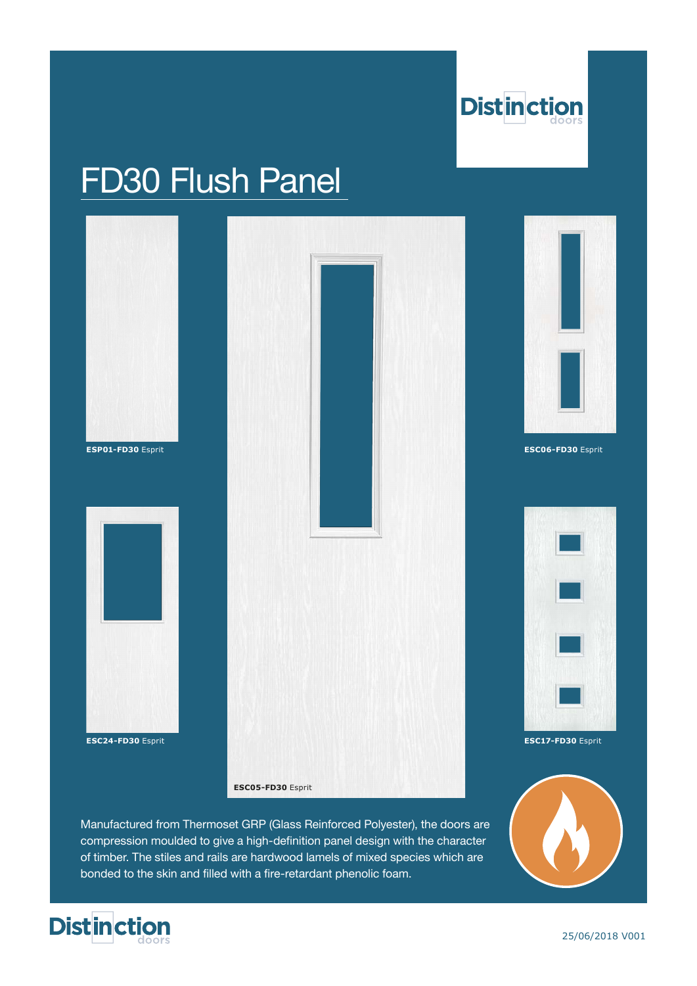

## FD30 Flush Panel



Manufactured from Thermoset GRP (Glass Reinforced Polyester), the doors are compression moulded to give a high-definition panel design with the character of timber. The stiles and rails are hardwood lamels of mixed species which are bonded to the skin and filled with a fire-retardant phenolic foam.